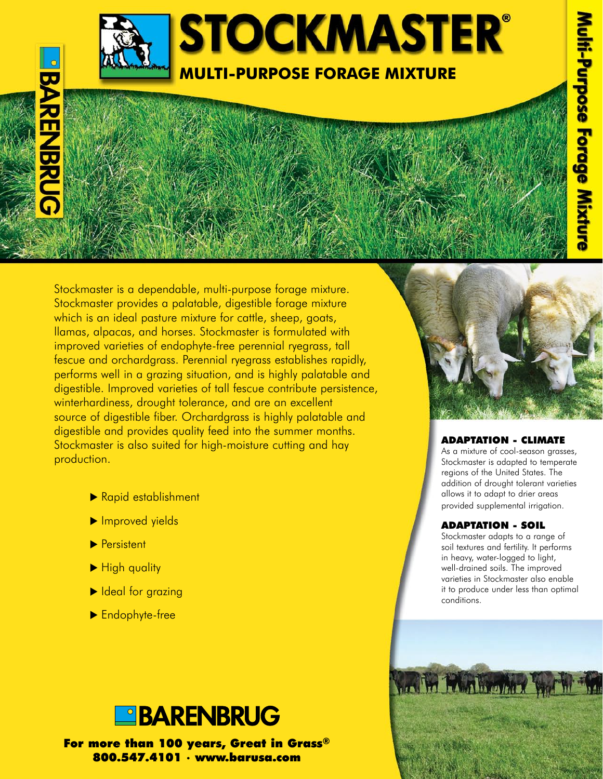

# **BARENBRUG**

Stockmaster is a dependable, multi-purpose forage mixture. Stockmaster provides a palatable, digestible forage mixture which is an ideal pasture mixture for cattle, sheep, goats, llamas, alpacas, and horses. Stockmaster is formulated with improved varieties of endophyte-free perennial ryegrass, tall fescue and orchardgrass. Perennial ryegrass establishes rapidly, performs well in a grazing situation, and is highly palatable and digestible. Improved varieties of tall fescue contribute persistence, winterhardiness, drought tolerance, and are an excellent source of digestible fiber. Orchardgrass is highly palatable and digestible and provides quality feed into the summer months. Stockmaster is also suited for high-moisture cutting and hay production.

- Rapid establishment
- $\blacktriangleright$  Improved yields
- $\blacktriangleright$  Persistent
- High quality
- Ideal for grazing
- $\blacktriangleright$  Endophyte-free



For more than 100 years, Great in Grass® 800.547.4101 • www.barusa.com



# Adaptation - Climate

As a mixture of cool-season grasses, Stockmaster is adapted to temperate regions of the United States. The addition of drought tolerant varieties allows it to adapt to drier areas provided supplemental irrigation.

# Adaptation - Soil

Stockmaster adapts to a range of soil textures and fertility. It performs in heavy, water-logged to light, well-drained soils. The improved varieties in Stockmaster also enable it to produce under less than optimal conditions.